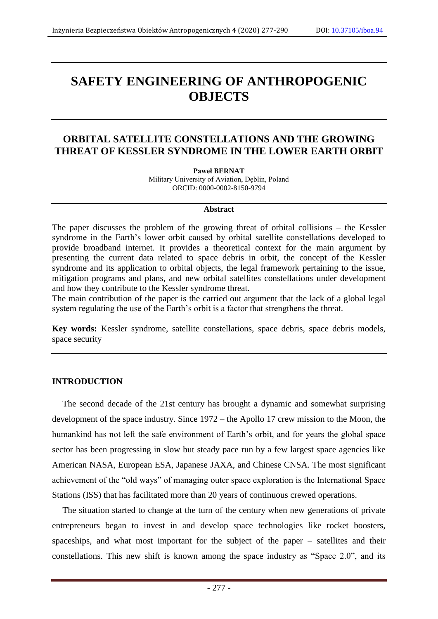# **SAFETY ENGINEERING OF ANTHROPOGENIC OBJECTS**

# **ORBITAL SATELLITE CONSTELLATIONS AND THE GROWING THREAT OF KESSLER SYNDROME IN THE LOWER EARTH ORBIT**

**Paweł BERNAT** Military University of Aviation, Dęblin, Poland ORCID: 0000-0002-8150-9794

#### **Abstract**

The paper discusses the problem of the growing threat of orbital collisions – the Kessler syndrome in the Earth's lower orbit caused by orbital satellite constellations developed to provide broadband internet. It provides a theoretical context for the main argument by presenting the current data related to space debris in orbit, the concept of the Kessler syndrome and its application to orbital objects, the legal framework pertaining to the issue, mitigation programs and plans, and new orbital satellites constellations under development and how they contribute to the Kessler syndrome threat.

The main contribution of the paper is the carried out argument that the lack of a global legal system regulating the use of the Earth's orbit is a factor that strengthens the threat.

**Key words:** Kessler syndrome, satellite constellations, space debris, space debris models, space security

#### **INTRODUCTION**

The second decade of the 21st century has brought a dynamic and somewhat surprising development of the space industry. Since 1972 – the Apollo 17 crew mission to the Moon, the humankind has not left the safe environment of Earth's orbit, and for years the global space sector has been progressing in slow but steady pace run by a few largest space agencies like American NASA, European ESA, Japanese JAXA, and Chinese CNSA. The most significant achievement of the "old ways" of managing outer space exploration is the International Space Stations (ISS) that has facilitated more than 20 years of continuous crewed operations.

The situation started to change at the turn of the century when new generations of private entrepreneurs began to invest in and develop space technologies like rocket boosters, spaceships, and what most important for the subject of the paper – satellites and their constellations. This new shift is known among the space industry as "Space 2.0", and its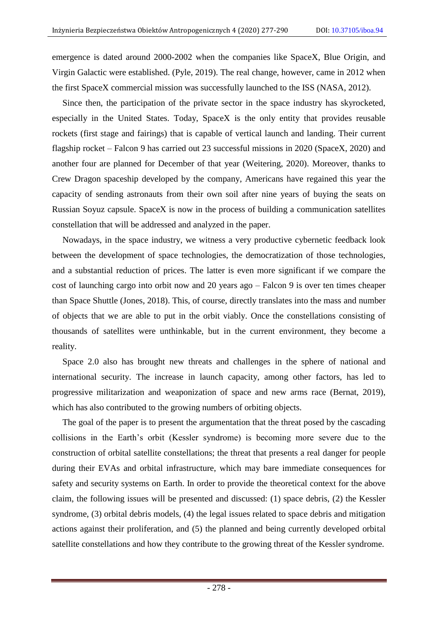emergence is dated around 2000-2002 when the companies like SpaceX, Blue Origin, and Virgin Galactic were established. (Pyle, 2019). The real change, however, came in 2012 when the first SpaceX commercial mission was successfully launched to the ISS (NASA, 2012).

Since then, the participation of the private sector in the space industry has skyrocketed, especially in the United States. Today, SpaceX is the only entity that provides reusable rockets (first stage and fairings) that is capable of vertical launch and landing. Their current flagship rocket – Falcon 9 has carried out 23 successful missions in 2020 (SpaceX, 2020) and another four are planned for December of that year (Weitering, 2020). Moreover, thanks to Crew Dragon spaceship developed by the company, Americans have regained this year the capacity of sending astronauts from their own soil after nine years of buying the seats on Russian Soyuz capsule. SpaceX is now in the process of building a communication satellites constellation that will be addressed and analyzed in the paper.

Nowadays, in the space industry, we witness a very productive cybernetic feedback look between the development of space technologies, the democratization of those technologies, and a substantial reduction of prices. The latter is even more significant if we compare the cost of launching cargo into orbit now and 20 years ago – Falcon 9 is over ten times cheaper than Space Shuttle (Jones, 2018). This, of course, directly translates into the mass and number of objects that we are able to put in the orbit viably. Once the constellations consisting of thousands of satellites were unthinkable, but in the current environment, they become a reality.

Space 2.0 also has brought new threats and challenges in the sphere of national and international security. The increase in launch capacity, among other factors, has led to progressive militarization and weaponization of space and new arms race (Bernat, 2019), which has also contributed to the growing numbers of orbiting objects.

The goal of the paper is to present the argumentation that the threat posed by the cascading collisions in the Earth's orbit (Kessler syndrome) is becoming more severe due to the construction of orbital satellite constellations; the threat that presents a real danger for people during their EVAs and orbital infrastructure, which may bare immediate consequences for safety and security systems on Earth. In order to provide the theoretical context for the above claim, the following issues will be presented and discussed: (1) space debris, (2) the Kessler syndrome, (3) orbital debris models, (4) the legal issues related to space debris and mitigation actions against their proliferation, and (5) the planned and being currently developed orbital satellite constellations and how they contribute to the growing threat of the Kessler syndrome.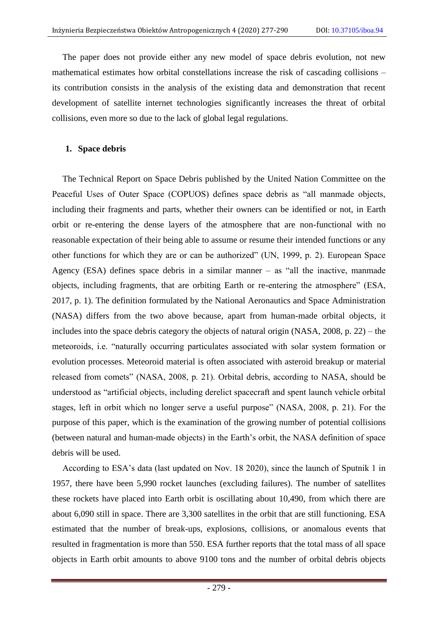The paper does not provide either any new model of space debris evolution, not new mathematical estimates how orbital constellations increase the risk of cascading collisions – its contribution consists in the analysis of the existing data and demonstration that recent development of satellite internet technologies significantly increases the threat of orbital collisions, even more so due to the lack of global legal regulations.

## **1. Space debris**

The Technical Report on Space Debris published by the United Nation Committee on the Peaceful Uses of Outer Space (COPUOS) defines space debris as "all manmade objects, including their fragments and parts, whether their owners can be identified or not, in Earth orbit or re-entering the dense layers of the atmosphere that are non-functional with no reasonable expectation of their being able to assume or resume their intended functions or any other functions for which they are or can be authorized" (UN, 1999, p. 2). European Space Agency (ESA) defines space debris in a similar manner – as "all the inactive, manmade objects, including fragments, that are orbiting Earth or re-entering the atmosphere" (ESA, 2017, p. 1). The definition formulated by the National Aeronautics and Space Administration (NASA) differs from the two above because, apart from human-made orbital objects, it includes into the space debris category the objects of natural origin (NASA, 2008, p. 22) – the meteoroids, i.e. "naturally occurring particulates associated with solar system formation or evolution processes. Meteoroid material is often associated with asteroid breakup or material released from comets" (NASA, 2008, p. 21). Orbital debris, according to NASA, should be understood as "artificial objects, including derelict spacecraft and spent launch vehicle orbital stages, left in orbit which no longer serve a useful purpose" (NASA, 2008, p. 21). For the purpose of this paper, which is the examination of the growing number of potential collisions (between natural and human-made objects) in the Earth's orbit, the NASA definition of space debris will be used.

According to ESA's data (last updated on Nov. 18 2020), since the launch of Sputnik 1 in 1957, there have been 5,990 rocket launches (excluding failures). The number of satellites these rockets have placed into Earth orbit is oscillating about 10,490, from which there are about 6,090 still in space. There are 3,300 satellites in the orbit that are still functioning. ESA estimated that the number of break-ups, explosions, collisions, or anomalous events that resulted in fragmentation is more than 550. ESA further reports that the total mass of all space objects in Earth orbit amounts to above 9100 tons and the number of orbital debris objects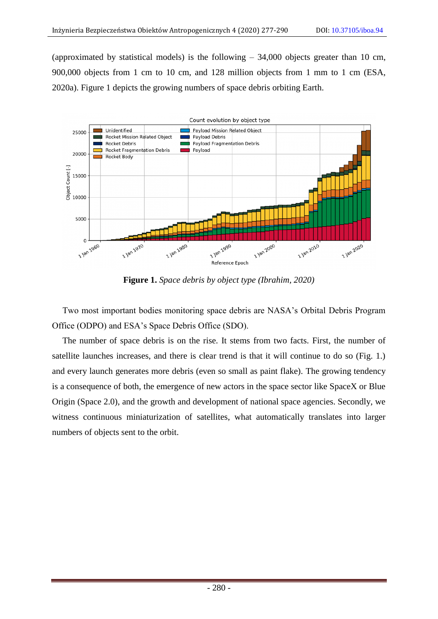(approximated by statistical models) is the following  $-34,000$  objects greater than 10 cm, 900,000 objects from 1 cm to 10 cm, and 128 million objects from 1 mm to 1 cm (ESA, 2020a). Figure 1 depicts the growing numbers of space debris orbiting Earth.



**Figure 1.** *Space debris by object type (Ibrahim, 2020)*

Two most important bodies monitoring space debris are NASA's Orbital Debris Program Office (ODPO) and ESA's Space Debris Office (SDO).

The number of space debris is on the rise. It stems from two facts. First, the number of satellite launches increases, and there is clear trend is that it will continue to do so (Fig. 1.) and every launch generates more debris (even so small as paint flake). The growing tendency is a consequence of both, the emergence of new actors in the space sector like SpaceX or Blue Origin (Space 2.0), and the growth and development of national space agencies. Secondly, we witness continuous miniaturization of satellites, what automatically translates into larger numbers of objects sent to the orbit.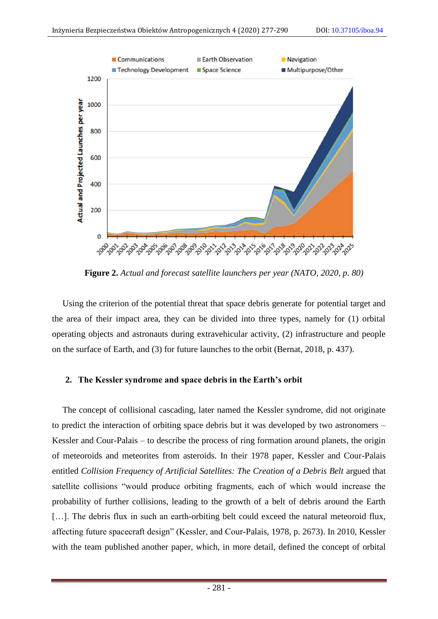

**Figure 2.** *Actual and forecast satellite launchers per year (NATO, 2020, p. 80)*

Using the criterion of the potential threat that space debris generate for potential target and the area of their impact area, they can be divided into three types, namely for (1) orbital operating objects and astronauts during extravehicular activity, (2) infrastructure and people on the surface of Earth, and (3) for future launches to the orbit (Bernat, 2018, p. 437).

## **2. The Kessler syndrome and space debris in the Earth's orbit**

The concept of collisional cascading, later named the Kessler syndrome, did not originate to predict the interaction of orbiting space debris but it was developed by two astronomers – Kessler and Cour-Palais – to describe the process of ring formation around planets, the origin of meteoroids and meteorites from asteroids. In their 1978 paper, Kessler and Cour-Palais entitled *Collision Frequency of Artificial Satellites: The Creation of a Debris Belt* argued that satellite collisions "would produce orbiting fragments, each of which would increase the probability of further collisions, leading to the growth of a belt of debris around the Earth [...]. The debris flux in such an earth-orbiting belt could exceed the natural meteoroid flux, affecting future spacecraft design" (Kessler, and Cour-Palais, 1978, p. 2673). In 2010, Kessler with the team published another paper, which, in more detail, defined the concept of orbital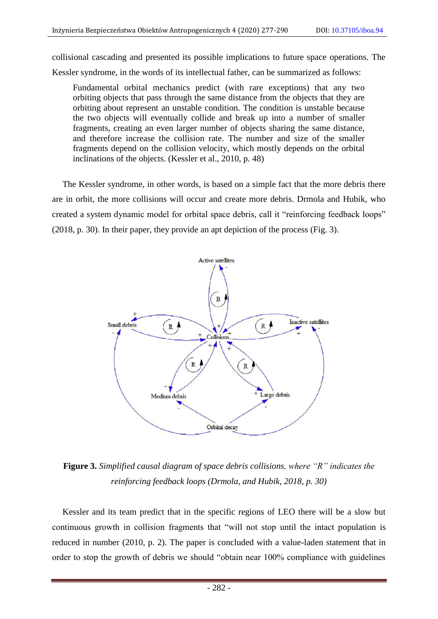collisional cascading and presented its possible implications to future space operations. The Kessler syndrome, in the words of its intellectual father, can be summarized as follows:

Fundamental orbital mechanics predict (with rare exceptions) that any two orbiting objects that pass through the same distance from the objects that they are orbiting about represent an unstable condition. The condition is unstable because the two objects will eventually collide and break up into a number of smaller fragments, creating an even larger number of objects sharing the same distance, and therefore increase the collision rate. The number and size of the smaller fragments depend on the collision velocity, which mostly depends on the orbital inclinations of the objects. (Kessler et al., 2010, p. 48)

The Kessler syndrome, in other words, is based on a simple fact that the more debris there are in orbit, the more collisions will occur and create more debris. Drmola and Hubik, who created a system dynamic model for orbital space debris, call it "reinforcing feedback loops" (2018, p. 30). In their paper, they provide an apt depiction of the process (Fig. 3).



**Figure 3.** *Simplified causal diagram of space debris collisions, where "R" indicates the reinforcing feedback loops (Drmola, and Hubik, 2018, p. 30)*

Kessler and its team predict that in the specific regions of LEO there will be a slow but continuous growth in collision fragments that "will not stop until the intact population is reduced in number (2010, p. 2). The paper is concluded with a value-laden statement that in order to stop the growth of debris we should "obtain near 100% compliance with guidelines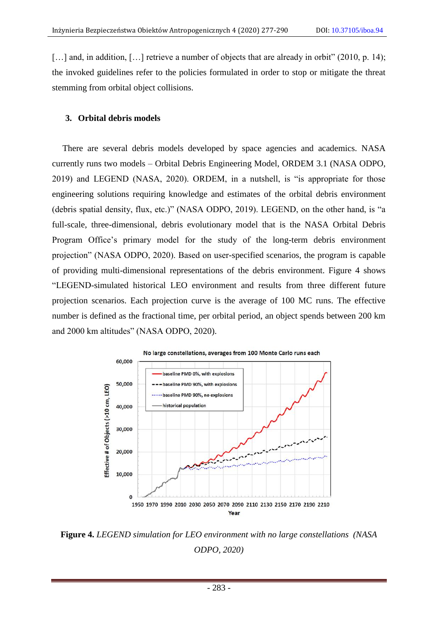[...] and, in addition, [...] retrieve a number of objects that are already in orbit" (2010, p. 14); the invoked guidelines refer to the policies formulated in order to stop or mitigate the threat stemming from orbital object collisions.

# **3. Orbital debris models**

There are several debris models developed by space agencies and academics. NASA currently runs two models – Orbital Debris Engineering Model, ORDEM 3.1 (NASA ODPO, 2019) and LEGEND (NASA, 2020). ORDEM, in a nutshell, is "is appropriate for those engineering solutions requiring knowledge and estimates of the orbital debris environment (debris spatial density, flux, etc.)" (NASA ODPO, 2019). LEGEND, on the other hand, is "a full-scale, three-dimensional, debris evolutionary model that is the NASA Orbital Debris Program Office's primary model for the study of the long-term debris environment projection" (NASA ODPO, 2020). Based on user-specified scenarios, the program is capable of providing multi-dimensional representations of the debris environment. Figure 4 shows "LEGEND-simulated historical LEO environment and results from three different future projection scenarios. Each projection curve is the average of 100 MC runs. The effective number is defined as the fractional time, per orbital period, an object spends between 200 km and 2000 km altitudes" (NASA ODPO, 2020).



**Figure 4.** *LEGEND simulation for LEO environment with no large constellations (NASA ODPO, 2020)*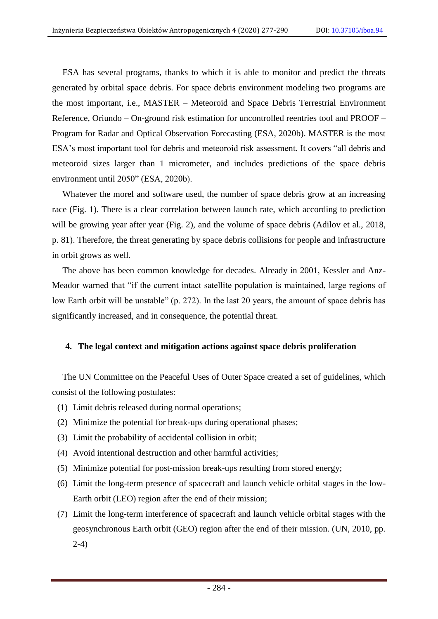ESA has several programs, thanks to which it is able to monitor and predict the threats generated by orbital space debris. For space debris environment modeling two programs are the most important, i.e., MASTER – Meteoroid and Space Debris Terrestrial Environment Reference, Oriundo – On-ground risk estimation for uncontrolled reentries tool and PROOF – Program for Radar and Optical Observation Forecasting (ESA, 2020b). MASTER is the most ESA's most important tool for debris and meteoroid risk assessment. It covers "all debris and meteoroid sizes larger than 1 micrometer, and includes predictions of the space debris environment until 2050" (ESA, 2020b).

Whatever the morel and software used, the number of space debris grow at an increasing race (Fig. 1). There is a clear correlation between launch rate, which according to prediction will be growing year after year (Fig. 2), and the volume of space debris (Adilov et al., 2018, p. 81). Therefore, the threat generating by space debris collisions for people and infrastructure in orbit grows as well.

The above has been common knowledge for decades. Already in 2001, Kessler and Anz-Meador warned that "if the current intact satellite population is maintained, large regions of low Earth orbit will be unstable" (p. 272). In the last 20 years, the amount of space debris has significantly increased, and in consequence, the potential threat.

## **4. The legal context and mitigation actions against space debris proliferation**

The UN Committee on the Peaceful Uses of Outer Space created a set of guidelines, which consist of the following postulates:

- (1) Limit debris released during normal operations;
- (2) Minimize the potential for break-ups during operational phases;
- (3) Limit the probability of accidental collision in orbit;
- (4) Avoid intentional destruction and other harmful activities;
- (5) Minimize potential for post-mission break-ups resulting from stored energy;
- (6) Limit the long-term presence of spacecraft and launch vehicle orbital stages in the low-Earth orbit (LEO) region after the end of their mission;
- (7) Limit the long-term interference of spacecraft and launch vehicle orbital stages with the geosynchronous Earth orbit (GEO) region after the end of their mission. (UN, 2010, pp. 2-4)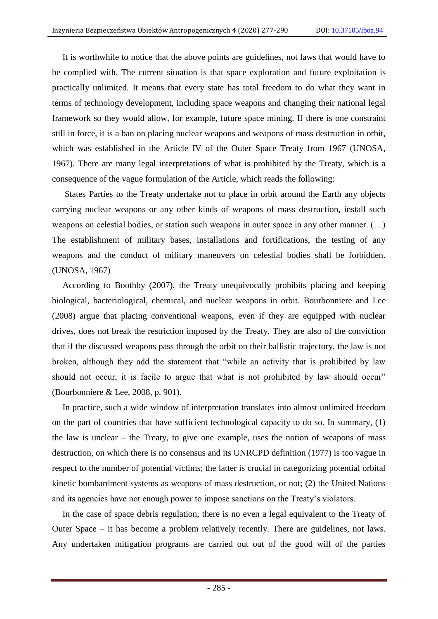It is worthwhile to notice that the above points are guidelines, not laws that would have to be complied with. The current situation is that space exploration and future exploitation is practically unlimited. It means that every state has total freedom to do what they want in terms of technology development, including space weapons and changing their national legal framework so they would allow, for example, future space mining. If there is one constraint still in force, it is a ban on placing nuclear weapons and weapons of mass destruction in orbit, which was established in the Article IV of the Outer Space Treaty from 1967 (UNOSA, 1967). There are many legal interpretations of what is prohibited by the Treaty, which is a consequence of the vague formulation of the Article, which reads the following:

States Parties to the Treaty undertake not to place in orbit around the Earth any objects carrying nuclear weapons or any other kinds of weapons of mass destruction, install such weapons on celestial bodies, or station such weapons in outer space in any other manner. (…) The establishment of military bases, installations and fortifications, the testing of any weapons and the conduct of military maneuvers on celestial bodies shall be forbidden. (UNOSA, 1967)

According to Boothby (2007), the Treaty unequivocally prohibits placing and keeping biological, bacteriological, chemical, and nuclear weapons in orbit. Bourbonniere and Lee (2008) argue that placing conventional weapons, even if they are equipped with nuclear drives, does not break the restriction imposed by the Treaty. They are also of the conviction that if the discussed weapons pass through the orbit on their ballistic trajectory, the law is not broken, although they add the statement that "while an activity that is prohibited by law should not occur, it is facile to argue that what is not prohibited by law should occur" (Bourbonniere & Lee, 2008, p. 901).

In practice, such a wide window of interpretation translates into almost unlimited freedom on the part of countries that have sufficient technological capacity to do so. In summary, (1) the law is unclear – the Treaty, to give one example, uses the notion of weapons of mass destruction, on which there is no consensus and its UNRCPD definition (1977) is too vague in respect to the number of potential victims; the latter is crucial in categorizing potential orbital kinetic bombardment systems as weapons of mass destruction, or not; (2) the United Nations and its agencies have not enough power to impose sanctions on the Treaty's violators.

In the case of space debris regulation, there is no even a legal equivalent to the Treaty of Outer Space – it has become a problem relatively recently. There are guidelines, not laws. Any undertaken mitigation programs are carried out out of the good will of the parties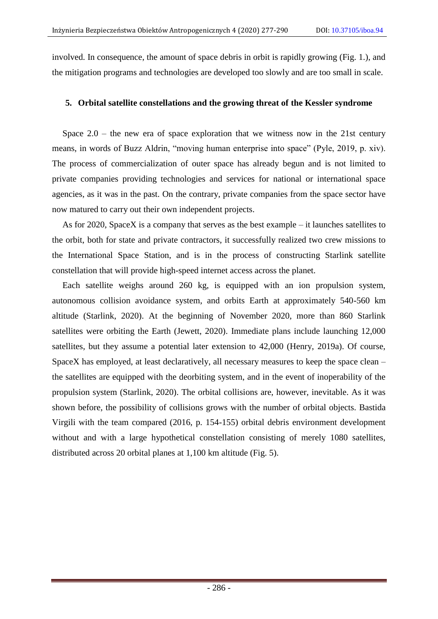involved. In consequence, the amount of space debris in orbit is rapidly growing (Fig. 1.), and the mitigation programs and technologies are developed too slowly and are too small in scale.

## **5. Orbital satellite constellations and the growing threat of the Kessler syndrome**

Space  $2.0$  – the new era of space exploration that we witness now in the 21st century means, in words of Buzz Aldrin, "moving human enterprise into space" (Pyle, 2019, p. xiv). The process of commercialization of outer space has already begun and is not limited to private companies providing technologies and services for national or international space agencies, as it was in the past. On the contrary, private companies from the space sector have now matured to carry out their own independent projects.

As for 2020, SpaceX is a company that serves as the best example – it launches satellites to the orbit, both for state and private contractors, it successfully realized two crew missions to the International Space Station, and is in the process of constructing Starlink satellite constellation that will provide high-speed internet access across the planet.

Each satellite weighs around 260 kg, is equipped with an ion propulsion system, autonomous collision avoidance system, and orbits Earth at approximately 540-560 km altitude (Starlink, 2020). At the beginning of November 2020, more than 860 Starlink satellites were orbiting the Earth (Jewett, 2020). Immediate plans include launching 12,000 satellites, but they assume a potential later extension to 42,000 (Henry, 2019a). Of course, SpaceX has employed, at least declaratively, all necessary measures to keep the space clean – the satellites are equipped with the deorbiting system, and in the event of inoperability of the propulsion system (Starlink, 2020). The orbital collisions are, however, inevitable. As it was shown before, the possibility of collisions grows with the number of orbital objects. Bastida Virgili with the team compared (2016, p. 154-155) orbital debris environment development without and with a large hypothetical constellation consisting of merely 1080 satellites, distributed across 20 orbital planes at 1,100 km altitude (Fig. 5).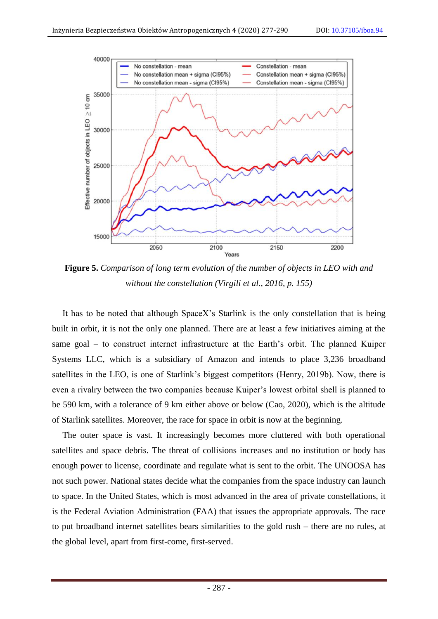

**Figure 5.** *Comparison of long term evolution of the number of objects in LEO with and without the constellation (Virgili et al., 2016, p. 155)*

It has to be noted that although SpaceX's Starlink is the only constellation that is being built in orbit, it is not the only one planned. There are at least a few initiatives aiming at the same goal – to construct internet infrastructure at the Earth's orbit. The planned Kuiper Systems LLC, which is a subsidiary of Amazon and intends to place 3,236 broadband satellites in the LEO, is one of Starlink's biggest competitors (Henry, 2019b). Now, there is even a rivalry between the two companies because Kuiper's lowest orbital shell is planned to be 590 km, with a tolerance of 9 km either above or below (Cao, 2020), which is the altitude of Starlink satellites. Moreover, the race for space in orbit is now at the beginning.

The outer space is vast. It increasingly becomes more cluttered with both operational satellites and space debris. The threat of collisions increases and no institution or body has enough power to license, coordinate and regulate what is sent to the orbit. The UNOOSA has not such power. National states decide what the companies from the space industry can launch to space. In the United States, which is most advanced in the area of private constellations, it is the Federal Aviation Administration (FAA) that issues the appropriate approvals. The race to put broadband internet satellites bears similarities to the gold rush – there are no rules, at the global level, apart from first-come, first-served.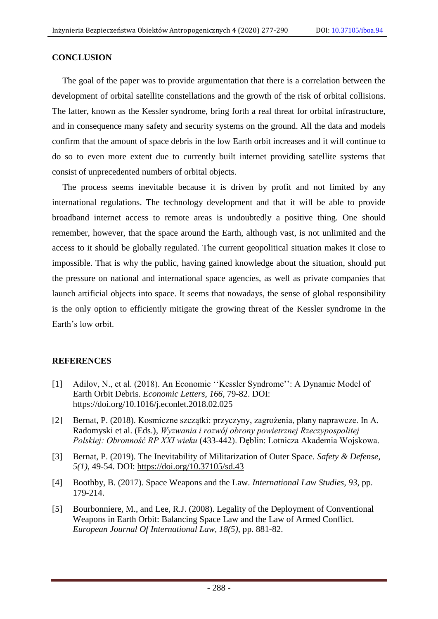## **CONCLUSION**

The goal of the paper was to provide argumentation that there is a correlation between the development of orbital satellite constellations and the growth of the risk of orbital collisions. The latter, known as the Kessler syndrome, bring forth a real threat for orbital infrastructure, and in consequence many safety and security systems on the ground. All the data and models confirm that the amount of space debris in the low Earth orbit increases and it will continue to do so to even more extent due to currently built internet providing satellite systems that consist of unprecedented numbers of orbital objects.

The process seems inevitable because it is driven by profit and not limited by any international regulations. The technology development and that it will be able to provide broadband internet access to remote areas is undoubtedly a positive thing. One should remember, however, that the space around the Earth, although vast, is not unlimited and the access to it should be globally regulated. The current geopolitical situation makes it close to impossible. That is why the public, having gained knowledge about the situation, should put the pressure on national and international space agencies, as well as private companies that launch artificial objects into space. It seems that nowadays, the sense of global responsibility is the only option to efficiently mitigate the growing threat of the Kessler syndrome in the Earth's low orbit.

## **REFERENCES**

- [1] Adilov, N., et al. (2018). An Economic ''Kessler Syndrome'': A Dynamic Model of Earth Orbit Debris. *Economic Letters, 166*, 79-82. DOI: https://doi.org/10.1016/j.econlet.2018.02.025
- [2] Bernat, P. (2018). Kosmiczne szczątki: przyczyny, zagrożenia, plany naprawcze. In A. Radomyski et al. (Eds.), *Wyzwania i rozwój obrony powietrznej Rzeczypospolitej Polskiej: Obronność RP XXI wieku* (433-442). Dęblin: Lotnicza Akademia Wojskowa.
- [3] Bernat, P. (2019). The Inevitability of Militarization of Outer Space. *Safety & Defense, 5(1)*, 49-54. DOI:<https://doi.org/10.37105/sd.43>
- [4] Boothby, B. (2017). Space Weapons and the Law. *International Law Studies, 93*, pp. 179-214.
- [5] Bourbonniere, M., and Lee, R.J. (2008). Legality of the Deployment of Conventional Weapons in Earth Orbit: Balancing Space Law and the Law of Armed Conflict. *European Journal Of International Law, 18(5)*, pp. 881-82.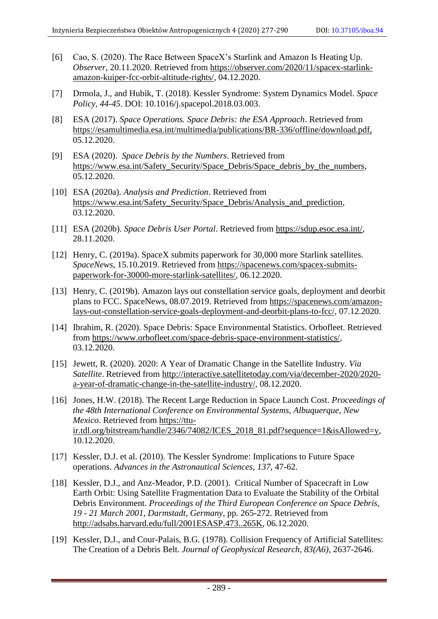- [6] Cao, S. (2020). The Race Between SpaceX's Starlink and Amazon Is Heating Up. *Observer*, 20.11.2020. Retrieved from [https://observer.com/2020/11/spacex-starlink](https://observer.com/2020/11/spacex-starlink-amazon-kuiper-fcc-orbit-altitude-rights/)[amazon-kuiper-fcc-orbit-altitude-rights/,](https://observer.com/2020/11/spacex-starlink-amazon-kuiper-fcc-orbit-altitude-rights/) 04.12.2020.
- [7] Drmola, J., and Hubik, T. (2018). Kessler Syndrome: System Dynamics Model. *Space Policy, 44-45*. DOI: 10.1016/j.spacepol.2018.03.003.
- [8] ESA (2017). *Space Operations. Space Debris: the ESA Approach*. Retrieved from [https://esamultimedia.esa.int/multimedia/publications/BR-336/offline/download.pdf,](https://esamultimedia.esa.int/multimedia/publications/BR-336/offline/download.pdf) 05.12.2020.
- [9] ESA (2020). *Space Debris by the Numbers*. Retrieved from [https://www.esa.int/Safety\\_Security/Space\\_Debris/Space\\_debris\\_by\\_the\\_numbers,](https://www.esa.int/Safety_Security/Space_Debris/Space_debris_by_the_numbers) 05.12.2020.
- [10] ESA (2020a). *Analysis and Prediction*. Retrieved from [https://www.esa.int/Safety\\_Security/Space\\_Debris/Analysis\\_and\\_prediction,](https://www.esa.int/Safety_Security/Space_Debris/Analysis_and_prediction) 03.12.2020.
- [11] ESA (2020b). *Space Debris User Portal*. Retrieved from [https://sdup.esoc.esa.int/,](https://sdup.esoc.esa.int/) 28.11.2020.
- [12] Henry, C. (2019a). SpaceX submits paperwork for 30,000 more Starlink satellites. *SpaceNews*, 15.10.2019. Retrieved from [https://spacenews.com/spacex-submits](https://spacenews.com/spacex-submits-paperwork-for-30000-more-starlink-satellites/)[paperwork-for-30000-more-starlink-satellites/,](https://spacenews.com/spacex-submits-paperwork-for-30000-more-starlink-satellites/) 06.12.2020.
- [13] Henry, C. (2019b). Amazon lays out constellation service goals, deployment and deorbit plans to FCC. SpaceNews, 08.07.2019. Retrieved from [https://spacenews.com/amazon](https://spacenews.com/amazon-lays-out-constellation-service-goals-deployment-and-deorbit-plans-to-fcc/)[lays-out-constellation-service-goals-deployment-and-deorbit-plans-to-fcc/,](https://spacenews.com/amazon-lays-out-constellation-service-goals-deployment-and-deorbit-plans-to-fcc/) 07.12.2020.
- [14] Ibrahim, R. (2020). Space Debris: Space Environmental Statistics. Orbofleet. Retrieved from [https://www.orbofleet.com/space-debris-space-environment-statistics/,](https://www.orbofleet.com/space-debris-space-environment-statistics/) 03.12.2020.
- [15] Jewett, R. (2020). 2020: A Year of Dramatic Change in the Satellite Industry. *Via Satellite*. Retrieved from [http://interactive.satellitetoday.com/via/december-2020/2020](http://interactive.satellitetoday.com/via/december-2020/2020-a-year-of-dramatic-change-in-the-satellite-industry/) [a-year-of-dramatic-change-in-the-satellite-industry/,](http://interactive.satellitetoday.com/via/december-2020/2020-a-year-of-dramatic-change-in-the-satellite-industry/) 08.12.2020.
- [16] Jones, H.W. (2018). The Recent Large Reduction in Space Launch Cost. *Proceedings of the 48th International Conference on Environmental Systems, Albuquerque, New Mexico*. Retrieved from [https://ttu](https://ttu-ir.tdl.org/bitstream/handle/2346/74082/ICES_2018_81.pdf?sequence=1&isAllowed=y)[ir.tdl.org/bitstream/handle/2346/74082/ICES\\_2018\\_81.pdf?sequence=1&isAllowed=y,](https://ttu-ir.tdl.org/bitstream/handle/2346/74082/ICES_2018_81.pdf?sequence=1&isAllowed=y) 10.12.2020.
- [17] Kessler, D.J. et al. (2010). The Kessler Syndrome: Implications to Future Space operations. *Advances in the Astronautical Sciences*, *137*, 47-62.
- [18] Kessler, D.J., and Anz-Meador, P.D. (2001). Critical Number of Spacecraft in Low Earth Orbit: Using Satellite Fragmentation Data to Evaluate the Stability of the Orbital Debris Environment. *Proceedings of the Third European Conference on Space Debris, 19 - 21 March 2001, Darmstadt, Germany*, pp. 265-272. Retrieved from [http://adsabs.harvard.edu/full/2001ESASP.473..265K,](http://adsabs.harvard.edu/full/2001ESASP.473..265K) 06.12.2020.
- [19] Kessler, D.J., and Cour-Palais, B.G. (1978). Collision Frequency of Artificial Satellites: The Creation of a Debris Belt. *Journal of Geophysical Research, 83(A6)*, 2637-2646.